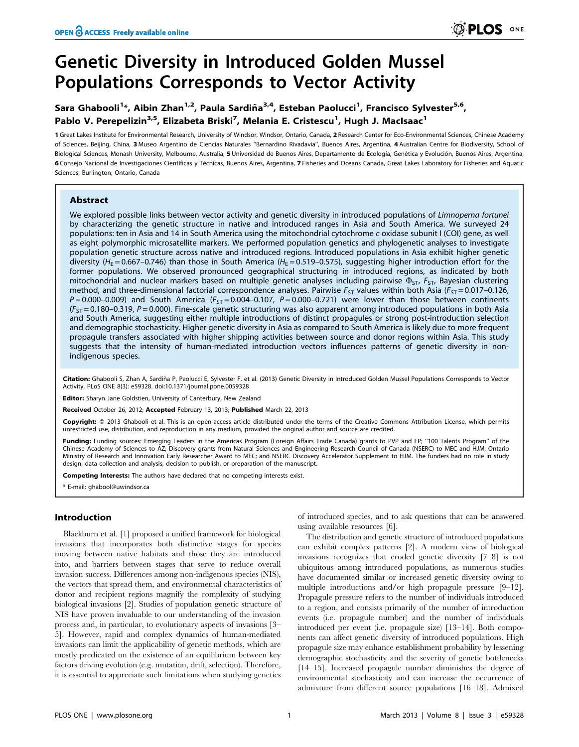# Genetic Diversity in Introduced Golden Mussel Populations Corresponds to Vector Activity

# Sara Ghabooli<sup>1</sup>\*, Aibin Zhan<sup>1,2</sup>, Paula Sardiña<sup>3,4</sup>, Esteban Paolucci<sup>1</sup>, Francisco Sylvester<sup>5,6</sup>, Pablo V. Perepelizin<sup>3,5</sup>, Elizabeta Briski<sup>7</sup>, Melania E. Cristescu<sup>1</sup>, Hugh J. MacIsaac<sup>1</sup>

1 Great Lakes Institute for Environmental Research, University of Windsor, Windsor, Ontario, Canada, 2 Research Center for Eco-Environmental Sciences, Chinese Academy of Sciences, Beijing, China, 3 Museo Argentino de Ciencias Naturales ''Bernardino Rivadavia'', Buenos Aires, Argentina, 4 Australian Centre for Biodiversity, School of Biological Sciences, Monash University, Melbourne, Australia, 5 Universidad de Buenos Aires, Departamento de Ecología, Genética y Evolución, Buenos Aires, Argentina, 6 Consejo Nacional de Investigaciones Científicas y Técnicas, Buenos Aires, Argentina, 7 Fisheries and Oceans Canada, Great Lakes Laboratory for Fisheries and Aquatic Sciences, Burlington, Ontario, Canada

# Abstract

We explored possible links between vector activity and genetic diversity in introduced populations of *Limnoperna fortunei* by characterizing the genetic structure in native and introduced ranges in Asia and South America. We surveyed 24 populations: ten in Asia and 14 in South America using the mitochondrial cytochrome c oxidase subunit I (COI) gene, as well as eight polymorphic microsatellite markers. We performed population genetics and phylogenetic analyses to investigate population genetic structure across native and introduced regions. Introduced populations in Asia exhibit higher genetic diversity ( $H_E$  = 0.667–0.746) than those in South America ( $H_E$  = 0.519–0.575), suggesting higher introduction effort for the former populations. We observed pronounced geographical structuring in introduced regions, as indicated by both mitochondrial and nuclear markers based on multiple genetic analyses including pairwise  $\Phi_{ST}$ ,  $F_{ST}$ , Bayesian clustering method, and three-dimensional factorial correspondence analyses. Pairwise  $F_{ST}$  values within both Asia ( $F_{ST}$  = 0.017–0.126,  $P = 0.000-0.009$ ) and South America ( $F_{ST} = 0.004-0.107$ ,  $P = 0.000-0.721$ ) were lower than those between continents  $(F<sub>ST</sub> = 0.180 - 0.319, P = 0.000)$ . Fine-scale genetic structuring was also apparent among introduced populations in both Asia and South America, suggesting either multiple introductions of distinct propagules or strong post-introduction selection and demographic stochasticity. Higher genetic diversity in Asia as compared to South America is likely due to more frequent propagule transfers associated with higher shipping activities between source and donor regions within Asia. This study suggests that the intensity of human-mediated introduction vectors influences patterns of genetic diversity in nonindigenous species.

Citation: Ghabooli S, Zhan A, Sardiña P, Paolucci E, Sylvester F, et al. (2013) Genetic Diversity in Introduced Golden Mussel Populations Corresponds to Vector Activity. PLoS ONE 8(3): e59328. doi:10.1371/journal.pone.0059328

Editor: Sharyn Jane Goldstien, University of Canterbury, New Zealand

Received October 26, 2012; Accepted February 13, 2013; Published March 22, 2013

Copyright: © 2013 Ghabooli et al. This is an open-access article distributed under the terms of the Creative Commons Attribution License, which permits unrestricted use, distribution, and reproduction in any medium, provided the original author and source are credited.

Funding: Funding sources: Emerging Leaders in the Americas Program (Foreign Affairs Trade Canada) grants to PVP and EP; "100 Talents Program" of the Chinese Academy of Sciences to AZ; Discovery grants from Natural Sciences and Engineering Research Council of Canada (NSERC) to MEC and HJM; Ontario Ministry of Research and Innovation Early Researcher Award to MEC; and NSERC Discovery Accelerator Supplement to HJM. The funders had no role in study design, data collection and analysis, decision to publish, or preparation of the manuscript.

Competing Interests: The authors have declared that no competing interests exist.

\* E-mail: ghabool@uwindsor.ca

# Introduction

Blackburn et al. [1] proposed a unified framework for biological invasions that incorporates both distinctive stages for species moving between native habitats and those they are introduced into, and barriers between stages that serve to reduce overall invasion success. Differences among non-indigenous species (NIS), the vectors that spread them, and environmental characteristics of donor and recipient regions magnify the complexity of studying biological invasions [2]. Studies of population genetic structure of NIS have proven invaluable to our understanding of the invasion process and, in particular, to evolutionary aspects of invasions [3– 5]. However, rapid and complex dynamics of human-mediated invasions can limit the applicability of genetic methods, which are mostly predicated on the existence of an equilibrium between key factors driving evolution (e.g. mutation, drift, selection). Therefore, it is essential to appreciate such limitations when studying genetics

of introduced species, and to ask questions that can be answered using available resources [6].

The distribution and genetic structure of introduced populations can exhibit complex patterns [2]. A modern view of biological invasions recognizes that eroded genetic diversity [7–8] is not ubiquitous among introduced populations, as numerous studies have documented similar or increased genetic diversity owing to multiple introductions and/or high propagule pressure [9–12]. Propagule pressure refers to the number of individuals introduced to a region, and consists primarily of the number of introduction events (i.e. propagule number) and the number of individuals introduced per event (i.e. propagule size) [13–14]. Both components can affect genetic diversity of introduced populations. High propagule size may enhance establishment probability by lessening demographic stochasticity and the severity of genetic bottlenecks [14–15]. Increased propagule number diminishes the degree of environmental stochasticity and can increase the occurrence of admixture from different source populations [16–18]. Admixed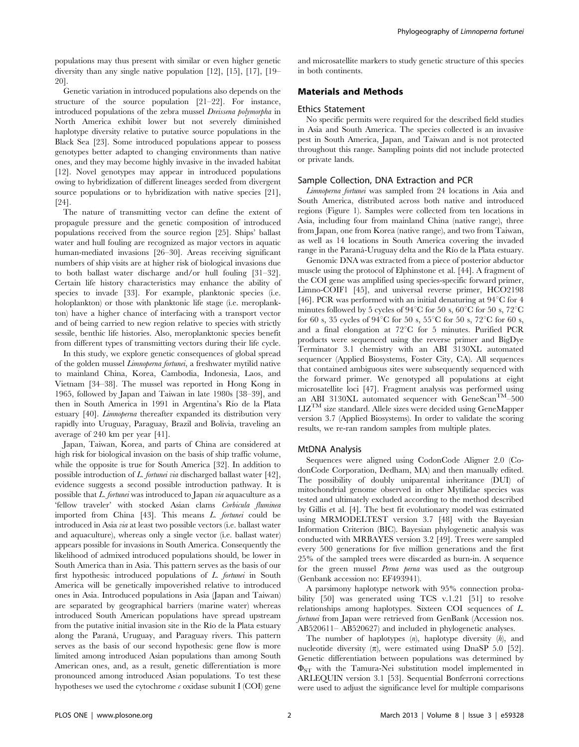populations may thus present with similar or even higher genetic diversity than any single native population [12], [15], [17], [19– 20].

Genetic variation in introduced populations also depends on the structure of the source population [21–22]. For instance, introduced populations of the zebra mussel Dreissena polymorpha in North America exhibit lower but not severely diminished haplotype diversity relative to putative source populations in the Black Sea [23]. Some introduced populations appear to possess genotypes better adapted to changing environments than native ones, and they may become highly invasive in the invaded habitat [12]. Novel genotypes may appear in introduced populations owing to hybridization of different lineages seeded from divergent source populations or to hybridization with native species [21], [24].

The nature of transmitting vector can define the extent of propagule pressure and the genetic composition of introduced populations received from the source region [25]. Ships' ballast water and hull fouling are recognized as major vectors in aquatic human-mediated invasions [26–30]. Areas receiving significant numbers of ship visits are at higher risk of biological invasions due to both ballast water discharge and/or hull fouling [31–32]. Certain life history characteristics may enhance the ability of species to invade [33]. For example, planktonic species (i.e. holoplankton) or those with planktonic life stage (i.e. meroplankton) have a higher chance of interfacing with a transport vector and of being carried to new region relative to species with strictly sessile, benthic life histories. Also, meroplanktonic species benefit from different types of transmitting vectors during their life cycle.

In this study, we explore genetic consequences of global spread of the golden mussel Limnoperna fortunei, a freshwater mytilid native to mainland China, Korea, Cambodia, Indonesia, Laos, and Vietnam [34–38]. The mussel was reported in Hong Kong in 1965, followed by Japan and Taiwan in late 1980s [38–39], and then in South America in 1991 in Argentina's Río de la Plata estuary [40]. Limnoperna thereafter expanded its distribution very rapidly into Uruguay, Paraguay, Brazil and Bolivia, traveling an average of 240 km per year [41].

Japan, Taiwan, Korea, and parts of China are considered at high risk for biological invasion on the basis of ship traffic volume, while the opposite is true for South America [32]. In addition to possible introduction of L. fortunei via discharged ballast water [42], evidence suggests a second possible introduction pathway. It is possible that L. fortunei was introduced to Japan via aquaculture as a 'fellow traveler' with stocked Asian clams Corbicula fluminea imported from China [43]. This means L. fortunei could be introduced in Asia via at least two possible vectors (i.e. ballast water and aquaculture), whereas only a single vector (i.e. ballast water) appears possible for invasions in South America. Consequently the likelihood of admixed introduced populations should, be lower in South America than in Asia. This pattern serves as the basis of our first hypothesis: introduced populations of L. fortunei in South America will be genetically impoverished relative to introduced ones in Asia. Introduced populations in Asia (Japan and Taiwan) are separated by geographical barriers (marine water) whereas introduced South American populations have spread upstream from the putative initial invasion site in the Río de la Plata estuary along the Paraná, Uruguay, and Paraguay rivers. This pattern serves as the basis of our second hypothesis: gene flow is more limited among introduced Asian populations than among South American ones, and, as a result, genetic differentiation is more pronounced among introduced Asian populations. To test these hypotheses we used the cytochrome  $\epsilon$  oxidase subunit I (COI) gene

and microsatellite markers to study genetic structure of this species in both continents.

# Materials and Methods

#### Ethics Statement

No specific permits were required for the described field studies in Asia and South America. The species collected is an invasive pest in South America, Japan, and Taiwan and is not protected throughout this range. Sampling points did not include protected or private lands.

#### Sample Collection, DNA Extraction and PCR

Limnoperna fortunei was sampled from 24 locations in Asia and South America, distributed across both native and introduced regions (Figure 1). Samples were collected from ten locations in Asia, including four from mainland China (native range), three from Japan, one from Korea (native range), and two from Taiwan, as well as 14 locations in South America covering the invaded range in the Paraná-Uruguay delta and the Río de la Plata estuary.

Genomic DNA was extracted from a piece of posterior abductor muscle using the protocol of Elphinstone et al. [44]. A fragment of the COI gene was amplified using species-specific forward primer, Limno-COIF1 [45], and universal reverse primer, HCO2198 [46]. PCR was performed with an initial denaturing at  $94^{\circ}$ C for 4 minutes followed by 5 cycles of  $94^{\circ}$ C for 50 s,  $60^{\circ}$ C for 50 s,  $72^{\circ}$ C for 60 s, 35 cycles of  $94^{\circ}$ C for 50 s, 55 $^{\circ}$ C for 50 s, 72 $^{\circ}$ C for 60 s, and a final elongation at  $72^{\circ}$ C for 5 minutes. Purified PCR products were sequenced using the reverse primer and BigDye Terminator 3.1 chemistry with an ABI 3130XL automated sequencer (Applied Biosystems, Foster City, CA). All sequences that contained ambiguous sites were subsequently sequenced with the forward primer. We genotyped all populations at eight microsatellite loci [47]. Fragment analysis was performed using an ABI 3130XL automated sequencer with  $Genescan<sup>TM</sup>–500$ LIZTM size standard. Allele sizes were decided using GeneMapper version 3.7 (Applied Biosystems). In order to validate the scoring results, we re-ran random samples from multiple plates.

#### MtDNA Analysis

Sequences were aligned using CodonCode Aligner 2.0 (CodonCode Corporation, Dedham, MA) and then manually edited. The possibility of doubly uniparental inheritance (DUI) of mitochondrial genome observed in other Mytilidae species was tested and ultimately excluded according to the method described by Gillis et al. [4]. The best fit evolutionary model was estimated using MRMODELTEST version 3.7 [48] with the Bayesian Information Criterion (BIC). Bayesian phylogenetic analysis was conducted with MRBAYES version 3.2 [49]. Trees were sampled every 500 generations for five million generations and the first 25% of the sampled trees were discarded as burn-in. A sequence for the green mussel Perna perna was used as the outgroup (Genbank accession no: EF493941).

A parsimony haplotype network with 95% connection probability [50] was generated using TCS v.1.21 [51] to resolve relationships among haplotypes. Sixteen COI sequences of L. fortunei from Japan were retrieved from GenBank (Accession nos. AB520611– AB520627) and included in phylogenetic analyses.

The number of haplotypes (n), haplotype diversity (h), and nucleotide diversity  $(\pi)$ , were estimated using DnaSP 5.0 [52]. Genetic differentiation between populations was determined by  $\Phi_{ST}$  with the Tamura-Nei substitution model implemented in ARLEQUIN version 3.1 [53]. Sequential Bonferroni corrections were used to adjust the significance level for multiple comparisons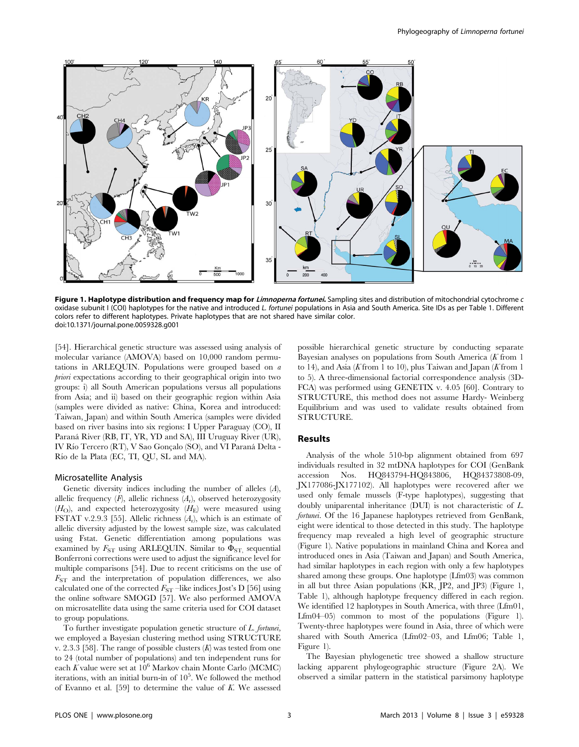

Figure 1. Haplotype distribution and frequency map for Limnoperna fortunei. Sampling sites and distribution of mitochondrial cytochrome c oxidase subunit I (COI) haplotypes for the native and introduced L. fortunei populations in Asia and South America. Site IDs as per Table 1. Different colors refer to different haplotypes. Private haplotypes that are not shared have similar color. doi:10.1371/journal.pone.0059328.g001

[54]. Hierarchical genetic structure was assessed using analysis of molecular variance (AMOVA) based on 10,000 random permutations in ARLEQUIN. Populations were grouped based on a priori expectations according to their geographical origin into two groups: i) all South American populations versus all populations from Asia; and ii) based on their geographic region within Asia (samples were divided as native: China, Korea and introduced: Taiwan, Japan) and within South America (samples were divided based on river basins into six regions: I Upper Paraguay (CO), II Paraná River (RB, IT, YR, YD and SA), III Uruguay River (UR), IV Río Tercero (RT), V Sao Gonçalo (SO), and VI Paraná Delta -Rı´o de la Plata (EC, TI, QU, SL and MA).

### Microsatellite Analysis

Genetic diversity indices including the number of alleles (A), allelic frequency  $(F)$ , allelic richness  $(A_r)$ , observed heterozygosity  $(H<sub>O</sub>)$ , and expected heterozygosity  $(H<sub>E</sub>)$  were measured using FSTAT v.2.9.3 [55]. Allelic richness  $(A_r)$ , which is an estimate of allelic diversity adjusted by the lowest sample size, was calculated using Fstat. Genetic differentiation among populations was examined by  $F_{ST}$  using ARLEQUIN. Similar to  $\Phi_{ST}$ , sequential Bonferroni corrections were used to adjust the significance level for multiple comparisons [54]. Due to recent criticisms on the use of  $F_{ST}$  and the interpretation of population differences, we also calculated one of the corrected  $F_{ST}$  –like indices Jost's D [56] using the online software SMOGD [57]. We also performed AMOVA on microsatellite data using the same criteria used for COI dataset to group populations.

To further investigate population genetic structure of L. fortunei, we employed a Bayesian clustering method using STRUCTURE v. 2.3.3 [58]. The range of possible clusters  $(K)$  was tested from one to 24 (total number of populations) and ten independent runs for each K value were set at  $10^6$  Markov chain Monte Carlo (MCMC) iterations, with an initial burn-in of  $10^5$ . We followed the method of Evanno et al. [59] to determine the value of  $K$ . We assessed

possible hierarchical genetic structure by conducting separate Bayesian analyses on populations from South America  $(K$  from 1 to 14), and Asia (K from 1 to 10), plus Taiwan and Japan (K from 1 to 5). A three-dimensional factorial correspondence analysis (3D-FCA) was performed using GENETIX v. 4.05 [60]. Contrary to STRUCTURE, this method does not assume Hardy- Weinberg Equilibrium and was used to validate results obtained from STRUCTURE.

# Results

Analysis of the whole 510-bp alignment obtained from 697 individuals resulted in 32 mtDNA haplotypes for COI (GenBank accession Nos. HQ843794-HQ843806, HQ84373808-09, JX177086-JX177102). All haplotypes were recovered after we used only female mussels (F-type haplotypes), suggesting that doubly uniparental inheritance (DUI) is not characteristic of L. fortunei. Of the 16 Japanese haplotypes retrieved from GenBank, eight were identical to those detected in this study. The haplotype frequency map revealed a high level of geographic structure (Figure 1). Native populations in mainland China and Korea and introduced ones in Asia (Taiwan and Japan) and South America, had similar haplotypes in each region with only a few haplotypes shared among these groups. One haplotype (Lfm03) was common in all but three Asian populations (KR, JP2, and JP3) (Figure 1, Table 1), although haplotype frequency differed in each region. We identified 12 haplotypes in South America, with three (Lfm01, Lfm04–05) common to most of the populations (Figure 1). Twenty-three haplotypes were found in Asia, three of which were shared with South America (Lfm02–03, and Lfm06; Table 1, Figure 1).

The Bayesian phylogenetic tree showed a shallow structure lacking apparent phylogeographic structure (Figure 2A). We observed a similar pattern in the statistical parsimony haplotype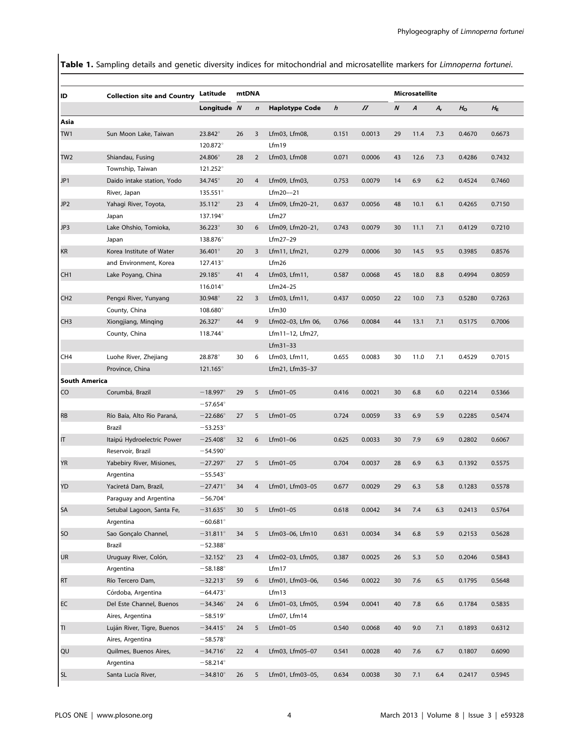Table 1. Sampling details and genetic diversity indices for mitochondrial and microsatellite markers for Limnoperna fortunei.

| ID                   | <b>Collection site and Country</b> | Latitude          | mtDNA |                  |                       |       |          | Microsatellite |      |         |             |             |  |  |
|----------------------|------------------------------------|-------------------|-------|------------------|-----------------------|-------|----------|----------------|------|---------|-------------|-------------|--|--|
|                      |                                    | Longitude N       |       | $\boldsymbol{n}$ | <b>Haplotype Code</b> | h     | $\varPi$ | N              | A    | $A_{r}$ | $H_{\rm O}$ | $H_{\rm E}$ |  |  |
| Asia                 |                                    |                   |       |                  |                       |       |          |                |      |         |             |             |  |  |
| TW1                  | Sun Moon Lake, Taiwan              | 23.842°           | 26    | 3                | Lfm03, Lfm08,         | 0.151 | 0.0013   | 29             | 11.4 | 7.3     | 0.4670      | 0.6673      |  |  |
|                      |                                    | 120.872°          |       |                  | Lfm19                 |       |          |                |      |         |             |             |  |  |
| TW2                  | Shiandau, Fusing                   | 24.806°           | 28    | $\overline{2}$   | Lfm03, Lfm08          | 0.071 | 0.0006   | 43             | 12.6 | 7.3     | 0.4286      | 0.7432      |  |  |
|                      | Township, Taiwan                   | 121.252°          |       |                  |                       |       |          |                |      |         |             |             |  |  |
| JP1                  | Daido intake station, Yodo         | 34.745°           | 20    | 4                | Lfm09, Lfm03,         | 0.753 | 0.0079   | 14             | 6.9  | 6.2     | 0.4524      | 0.7460      |  |  |
|                      | River, Japan                       | $135.551^{\circ}$ |       |                  | Lfm20--21             |       |          |                |      |         |             |             |  |  |
| JP <sub>2</sub>      | Yahagi River, Toyota,              | 35.112°           | 23    | 4                | Lfm09, Lfm20-21,      | 0.637 | 0.0056   | 48             | 10.1 | 6.1     | 0.4265      | 0.7150      |  |  |
|                      | Japan                              | 137.194°          |       |                  | Lfm27                 |       |          |                |      |         |             |             |  |  |
| JP3                  | Lake Ohshio, Tomioka,              | $36.223^\circ$    | 30    | 6                | Lfm09, Lfm20-21,      | 0.743 | 0.0079   | 30             | 11.1 | 7.1     | 0.4129      | 0.7210      |  |  |
|                      | Japan                              | 138.876°          |       |                  | Lfm27-29              |       |          |                |      |         |             |             |  |  |
| KR                   | Korea Institute of Water           | 36.401°           | 20    | 3                | Lfm11, Lfm21,         | 0.279 | 0.0006   | 30             | 14.5 | 9.5     | 0.3985      | 0.8576      |  |  |
|                      | and Environment, Korea             | $127.413^{\circ}$ |       |                  | Lfm26                 |       |          |                |      |         |             |             |  |  |
| CH <sub>1</sub>      | Lake Poyang, China                 | $29.185^{\circ}$  | 41    | $\overline{4}$   | Lfm03, Lfm11,         | 0.587 | 0.0068   | 45             | 18.0 | 8.8     | 0.4994      | 0.8059      |  |  |
|                      |                                    | $116.014^{\circ}$ |       |                  | Lfm24-25              |       |          |                |      |         |             |             |  |  |
| CH <sub>2</sub>      | Pengxi River, Yunyang              | 30.948°           | 22    | 3                | Lfm03, Lfm11,         | 0.437 | 0.0050   | 22             | 10.0 | 7.3     | 0.5280      | 0.7263      |  |  |
|                      | County, China                      | 108.680°          |       |                  | Lfm30                 |       |          |                |      |         |             |             |  |  |
| CH3                  | Xiongjiang, Minqing                | 26.327°           | 44    | 9                | Lfm02-03, Lfm 06,     | 0.766 | 0.0084   | 44             | 13.1 | 7.1     | 0.5175      | 0.7006      |  |  |
|                      | County, China                      | 118.744°          |       |                  | Lfm11-12, Lfm27,      |       |          |                |      |         |             |             |  |  |
|                      |                                    |                   |       |                  | $Lfm31-33$            |       |          |                |      |         |             |             |  |  |
| CH <sub>4</sub>      | Luohe River, Zhejiang              | 28.878°           | 30    | 6                | Lfm03, Lfm11,         | 0.655 | 0.0083   | 30             | 11.0 | 7.1     | 0.4529      | 0.7015      |  |  |
|                      | Province, China                    | 121.165°          |       |                  | Lfm21, Lfm35-37       |       |          |                |      |         |             |             |  |  |
| <b>South America</b> |                                    |                   |       |                  |                       |       |          |                |      |         |             |             |  |  |
| CO                   | Corumbá, Brazil                    | $-18.997^{\circ}$ | 29    | 5                | Lfm01-05              | 0.416 | 0.0021   | 30             | 6.8  | 6.0     | 0.2214      | 0.5366      |  |  |
|                      |                                    | $-57.654^{\circ}$ |       |                  |                       |       |          |                |      |         |             |             |  |  |
| <b>RB</b>            | Río Baía, Alto Rio Paraná,         | $-22.686^{\circ}$ | 27    | 5                | Lfm01-05              | 0.724 | 0.0059   | 33             | 6.9  | 5.9     | 0.2285      | 0.5474      |  |  |
|                      | Brazil                             | $-53.253^{\circ}$ |       |                  |                       |       |          |                |      |         |             |             |  |  |
| IT                   | Itaipú Hydroelectric Power         | $-25.408^{\circ}$ | 32    | 6                | $Lfm01-06$            | 0.625 | 0.0033   | 30             | 7.9  | 6.9     | 0.2802      | 0.6067      |  |  |
|                      | Reservoir, Brazil                  | $-54.590^{\circ}$ |       |                  |                       |       |          |                |      |         |             |             |  |  |
| YR                   | Yabebiry River, Misiones,          | $-27.297^{\circ}$ | 27    | 5                | $Lfm01-05$            | 0.704 | 0.0037   | 28             | 6.9  | 6.3     | 0.1392      | 0.5575      |  |  |
|                      | Argentina                          | $-55.543^{\circ}$ |       |                  |                       |       |          |                |      |         |             |             |  |  |
| YD                   | Yaciretá Dam, Brazil,              | $-27.471^{\circ}$ | 34    | 4                | Lfm01, Lfm03-05       | 0.677 | 0.0029   | 29             | 6.3  | 5.8     | 0.1283      | 0.5578      |  |  |
|                      | Paraguay and Argentina             | $-56.704^{\circ}$ |       |                  |                       |       |          |                |      |         |             |             |  |  |
| SA                   | Setubal Lagoon, Santa Fe,          | $-31.635^{\circ}$ | 30    | 5                | $Lfm01-05$            | 0.618 | 0.0042   | 34             | 7.4  | 6.3     | 0.2413      | 0.5764      |  |  |
|                      | Argentina                          | $-60.681$ °       |       |                  |                       |       |          |                |      |         |             |             |  |  |
| SO                   | Sao Gonçalo Channel,               | $-31.811^{\circ}$ | 34    | 5                | Lfm03-06, Lfm10       | 0.631 | 0.0034   | 34             | 6.8  | 5.9     | 0.2153      | 0.5628      |  |  |
|                      | Brazil                             | $-52.388^\circ$   |       |                  |                       |       |          |                |      |         |             |             |  |  |
| UR                   | Uruguay River, Colón,              | $-32.152^{\circ}$ | 23    | $\overline{4}$   | Lfm02-03, Lfm05,      | 0.387 | 0.0025   | 26             | 5.3  | 5.0     | 0.2046      | 0.5843      |  |  |
|                      | Argentina                          | $-58.188^{\circ}$ |       |                  | Lfm17                 |       |          |                |      |         |             |             |  |  |
| RT                   | Río Tercero Dam,                   | $-32.213^{\circ}$ | 59    | 6                | Lfm01, Lfm03-06,      | 0.546 | 0.0022   | 30             | 7.6  | 6.5     | 0.1795      | 0.5648      |  |  |
|                      | Córdoba, Argentina                 | $-64.473$ °       |       |                  | Lfm13                 |       |          |                |      |         |             |             |  |  |
| EC                   | Del Este Channel, Buenos           | $-34.346^{\circ}$ | 24    | 6                | Lfm01-03, Lfm05,      | 0.594 | 0.0041   | 40             | 7.8  | 6.6     | 0.1784      | 0.5835      |  |  |
|                      | Aires, Argentina                   | $-58.519^{\circ}$ |       |                  | Lfm07, Lfm14          |       |          |                |      |         |             |             |  |  |
| TI                   | Luján River, Tigre, Buenos         | $-34.415^{\circ}$ | 24    | 5                | Lfm01-05              | 0.540 | 0.0068   | 40             | 9.0  | 7.1     | 0.1893      | 0.6312      |  |  |
|                      | Aires, Argentina                   | $-58.578^{\circ}$ |       |                  |                       |       |          |                |      |         |             |             |  |  |
| QU                   | Quilmes, Buenos Aires,             | $-34.716^{\circ}$ | 22    | $\overline{4}$   | Lfm03, Lfm05-07       | 0.541 | 0.0028   | 40             | 7.6  | 6.7     | 0.1807      | 0.6090      |  |  |
|                      | Argentina                          | $-58.214^{\circ}$ |       |                  |                       |       |          |                |      |         |             |             |  |  |
| <b>SL</b>            | Santa Lucía River,                 | $-34.810^\circ$   | 26    | 5                | Lfm01, Lfm03-05,      | 0.634 | 0.0038   | 30             | 7.1  | 6.4     | 0.2417      | 0.5945      |  |  |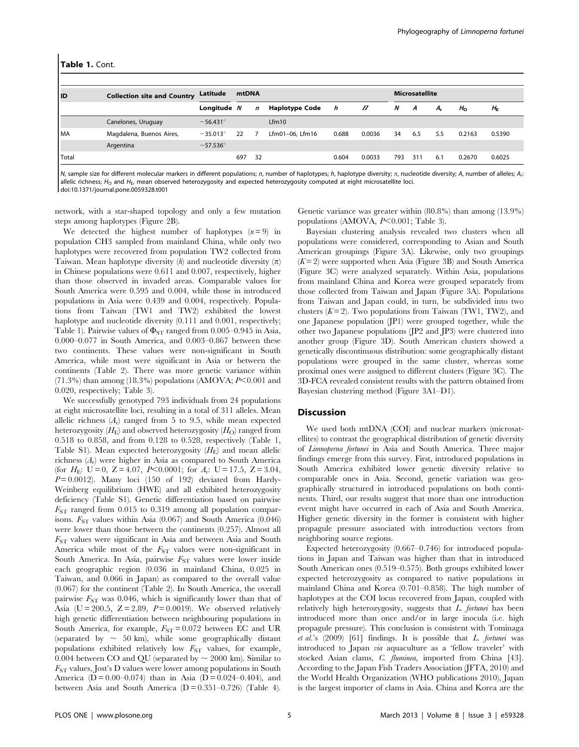| l ID  | <b>Collection site and Country</b> | Latitude          | mtDNA |             |                       |       |          | <b>Microsatellite</b> |     |     |                |             |  |  |  |
|-------|------------------------------------|-------------------|-------|-------------|-----------------------|-------|----------|-----------------------|-----|-----|----------------|-------------|--|--|--|
|       |                                    | Longitude N       |       | $\mathbf n$ | <b>Haplotype Code</b> | h     | $\varPi$ | N                     | A   | А,  | H <sub>o</sub> | $H_{\rm E}$ |  |  |  |
|       | Canelones, Uruguay                 | $-56.431^{\circ}$ |       |             | Lfm10                 |       |          |                       |     |     |                |             |  |  |  |
| l MA  | Magdalena, Buenos Aires,           | $-35.013^{\circ}$ | 22    |             | Lfm01-06, Lfm16       | 0.688 | 0.0036   | 34                    | 6.5 | 5.5 | 0.2163         | 0.5390      |  |  |  |
|       | Argentina                          | $-57.536^{\circ}$ |       |             |                       |       |          |                       |     |     |                |             |  |  |  |
| Total |                                    |                   | 697   | 32          |                       | 0.604 | 0.0033   | 793                   | 311 | 6.1 | 0.2670         | 0.6025      |  |  |  |

N, sample size for different molecular markers in different populations; n, number of haplotypes; h, haplotype diversity;  $\pi$ , nucleotide diversity; A, number of alleles; A,: allelic richness;  $H_0$  and  $H_F$ , mean observed heterozygosity and expected heterozygosity computed at eight microsatellite loci. doi:10.1371/journal.pone.0059328.t001

network, with a star-shaped topology and only a few mutation steps among haplotypes (Figure 2B).

We detected the highest number of haplotypes  $(n=9)$  in population CH3 sampled from mainland China, while only two haplotypes were recovered from population TW2 collected from Taiwan. Mean haplotype diversity  $(h)$  and nucleotide diversity  $(\pi)$ in Chinese populations were 0.611 and 0.007, respectively, higher than those observed in invaded areas. Comparable values for South America were 0.595 and 0.004, while those in introduced populations in Asia were 0.439 and 0.004, respectively. Populations from Taiwan (TW1 and TW2) exhibited the lowest haplotype and nucleotide diversity  $(0.111$  and  $0.001$ , respectively; Table 1). Pairwise values of  $\Phi_{ST}$  ranged from 0.005–0.945 in Asia, 0.000–0.077 in South America, and 0.003–0.867 between these two continents. These values were non-significant in South America, while most were significant in Asia or between the continents (Table 2). There was more genetic variance within  $(71.3\%)$  than among (18.3%) populations (AMOVA;  $P<0.001$  and 0.020, respectively; Table 3).

We successfully genotyped 793 individuals from 24 populations at eight microsatellite loci, resulting in a total of 311 alleles. Mean allelic richness  $(A_r)$  ranged from 5 to 9.5, while mean expected heterozygosity  $(H_E)$  and observed heterozygosity  $(H_O)$  ranged from 0.518 to 0.858, and from 0.128 to 0.528, respectively (Table 1, Table S1). Mean expected heterozygosity  $(H<sub>E</sub>)$  and mean allelic richness  $(A_r)$  were higher in Asia as compared to South America (for  $H_E$ : U = 0, Z = 4.07, P < 0.0001; for  $A_r$ : U = 17.5, Z = 3.04,  $P=0.0012$ ). Many loci (150 of 192) deviated from Hardy-Weinberg equilibrium (HWE) and all exhibited heterozygosity deficiency (Table S1). Genetic differentiation based on pairwise  $F_{ST}$  ranged from 0.015 to 0.319 among all population comparisons.  $F_{ST}$  values within Asia (0.067) and South America (0.046) were lower than those between the continents (0.257). Almost all  $F_{ST}$  values were significant in Asia and between Asia and South America while most of the  $F_{ST}$  values were non-significant in South America. In Asia, pairwise  $F_{ST}$  values were lower inside each geographic region (0.036 in mainland China, 0.025 in Taiwan, and 0.066 in Japan) as compared to the overall value (0.067) for the continent (Table 2). In South America, the overall pairwise  $F_{ST}$  was 0.046, which is significantly lower than that of Asia (U = 200.5,  $Z = 2.89$ ,  $P = 0.0019$ ). We observed relatively high genetic differentiation between neighbouring populations in South America, for example,  $F_{ST} = 0.072$  between EC and UR (separated by  $\sim$  50 km), while some geographically distant populations exhibited relatively low  $F_{ST}$  values, for example, 0.004 between CO and QU (separated by  $\sim$  2000 km). Similar to  $F_{ST}$  values, Jost's D values were lower among populations in South America ( $D = 0.00 - 0.074$ ) than in Asia ( $D = 0.024 - 0.404$ ), and between Asia and South America  $(D = 0.351 - 0.726)$  (Table 4).

Genetic variance was greater within (80.8%) than among (13.9%) populations (AMOVA,  $P<0.001$ ; Table 3).

Bayesian clustering analysis revealed two clusters when all populations were considered, corresponding to Asian and South American groupings (Figure 3A). Likewise, only two groupings  $(K=2)$  were supported when Asia (Figure 3B) and South America (Figure 3C) were analyzed separately. Within Asia, populations from mainland China and Korea were grouped separately from those collected from Taiwan and Japan (Figure 3A). Populations from Taiwan and Japan could, in turn, be subdivided into two clusters  $(K=2)$ . Two populations from Taiwan (TW1, TW2), and one Japanese population (JP1) were grouped together, while the other two Japanese populations (JP2 and JP3) were clustered into another group (Figure 3D). South American clusters showed a genetically discontinuous distribution: some geographically distant populations were grouped in the same cluster, whereas some proximal ones were assigned to different clusters (Figure 3C). The 3D-FCA revealed consistent results with the pattern obtained from Bayesian clustering method (Figure 3A1–D1).

#### Discussion

We used both mtDNA (COI) and nuclear markers (microsatellites) to contrast the geographical distribution of genetic diversity of Limnoperna fortunei in Asia and South America. Three major findings emerge from this survey. First, introduced populations in South America exhibited lower genetic diversity relative to comparable ones in Asia. Second, genetic variation was geographically structured in introduced populations on both continents. Third, our results suggest that more than one introduction event might have occurred in each of Asia and South America. Higher genetic diversity in the former is consistent with higher propagule pressure associated with introduction vectors from neighboring source regions.

Expected heterozygosity (0.667–0.746) for introduced populations in Japan and Taiwan was higher than that in introduced South American ones (0.519–0.575). Both groups exhibited lower expected heterozygosity as compared to native populations in mainland China and Korea (0.701–0.858). The high number of haplotypes at the COI locus recovered from Japan, coupled with relatively high heterozygosity, suggests that L. fortunei has been introduced more than once and/or in large inocula (i.e. high propagule pressure). This conclusion is consistent with Tominaga et al.'s (2009) [61] findings. It is possible that L. fortunei was introduced to Japan via aquaculture as a 'fellow traveler' with stocked Asian clams, C. fluminea, imported from China [43]. According to the Japan Fish Traders Association (JFTA, 2010) and the World Health Organization (WHO publications 2010), Japan is the largest importer of clams in Asia. China and Korea are the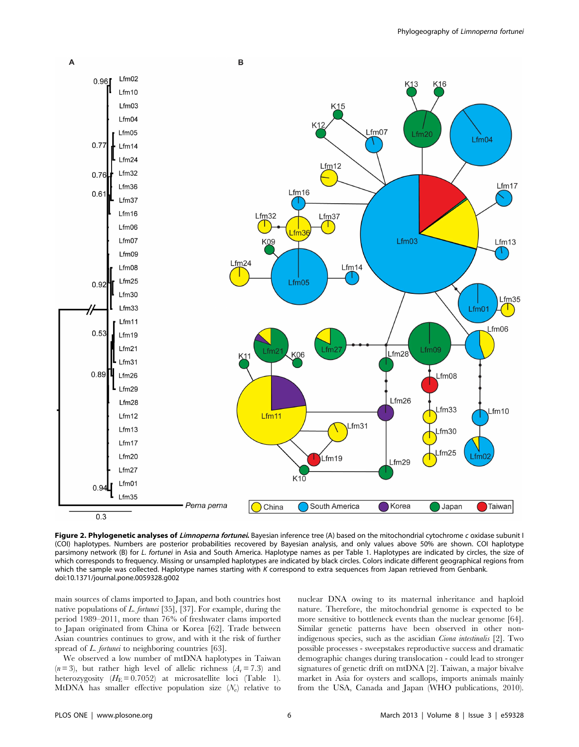

Figure 2. Phylogenetic analyses of Limnoperna fortunei. Bayesian inference tree (A) based on the mitochondrial cytochrome c oxidase subunit I (COI) haplotypes. Numbers are posterior probabilities recovered by Bayesian analysis, and only values above 50% are shown. COI haplotype parsimony network (B) for L. fortunei in Asia and South America. Haplotype names as per Table 1. Haplotypes are indicated by circles, the size of which corresponds to frequency. Missing or unsampled haplotypes are indicated by black circles. Colors indicate different geographical regions from which the sample was collected. Haplotype names starting with K correspond to extra sequences from Japan retrieved from Genbank. doi:10.1371/journal.pone.0059328.g002

main sources of clams imported to Japan, and both countries host native populations of L. fortunei [35], [37]. For example, during the period 1989–2011, more than 76% of freshwater clams imported to Japan originated from China or Korea [62]. Trade between Asian countries continues to grow, and with it the risk of further spread of *L. fortunei* to neighboring countries [63].

We observed a low number of mtDNA haplotypes in Taiwan  $(n=3)$ , but rather high level of allelic richness  $(A_r = 7.3)$  and heterozygosity  $(H_E = 0.7052)$  at microsatellite loci (Table 1). MtDNA has smaller effective population size  $(N_e)$  relative to nuclear DNA owing to its maternal inheritance and haploid nature. Therefore, the mitochondrial genome is expected to be more sensitive to bottleneck events than the nuclear genome [64]. Similar genetic patterns have been observed in other nonindigenous species, such as the ascidian Ciona intestinalis [2]. Two possible processes - sweepstakes reproductive success and dramatic demographic changes during translocation - could lead to stronger signatures of genetic drift on mtDNA [2]. Taiwan, a major bivalve market in Asia for oysters and scallops, imports animals mainly from the USA, Canada and Japan (WHO publications, 2010).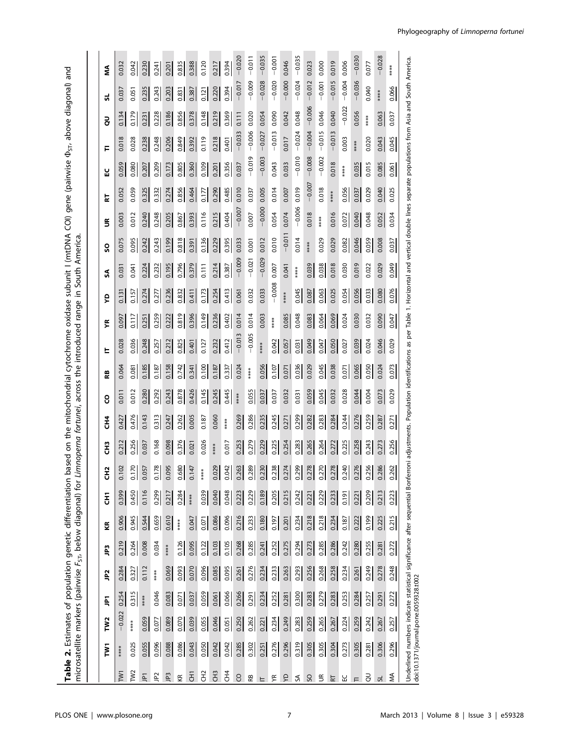**Table 2.** Estimates of population genetic differentiation based on the mitochondrial cytochrome oxidase subunit I (mtDNA COI) gene (pairwise  $\Phi_{\rm ST}$  above diagonal) and<br>microsatellite markers (pairwise F<sub>ST</sub>, below diag  $\Phi_{\text{ST}\text{,}}$  above diagonal) and Table 2. Estimates of population genetic differentiation based on the mitochondrial cytochrome oxidase subunit I (mtDNA COI) gene (pairwise microsatellite markers (pairwise F<sub>ST</sub>, below diagonal) for *Limnoperna fortunei,* across the introduced range in South America.

|  | ξ               | 0.032           | 0.042               | 0.230          | 0.241         | 0.201 | 0.835 | 0.388                | 0.120    | 0.217    | 0.394           | $-0.020$        | $-0.011$ | $-0.035$ | $-0.001$ | 0.046      | $-0.035$ | 0.023    | 0.000                    | 0.019    | $-0.004$ 0.006 | $-0.030$ | 0.077 | $-0.028$ | ****  |                                                                                                                                                      |
|--|-----------------|-----------------|---------------------|----------------|---------------|-------|-------|----------------------|----------|----------|-----------------|-----------------|----------|----------|----------|------------|----------|----------|--------------------------|----------|----------------|----------|-------|----------|-------|------------------------------------------------------------------------------------------------------------------------------------------------------|
|  | ದ               | 0.037           | 0.051               | 0.235          | 0.243         | 0.203 | 0.831 | 0.387                | 0.121    | 0.220    | 0.394           | $-0.017$        | $-0.009$ | $-0.028$ | $-0.020$ | $-0.000$   | $-0.024$ | $-0.012$ | $-0.001$                 | $-0.015$ |                | $-0.036$ | 0.040 | *****    | 0.066 |                                                                                                                                                      |
|  | š               | 0.134           | 0.179               | 0.231          | 0.228         | 0.186 | 0.856 | 0.378                | 0.148    | 0.219    | 0.369           | 0.111           | 0.020    | 0.054    | 0.090    | 0.042      | 0.048    | $-0.006$ | 0.046                    | 0.040    | $-0.022$       | 0.056    | ****  | 0.063    | 0.037 |                                                                                                                                                      |
|  | F               | 0.018           | 0.028               | 0.238          | 0.248         | 0.206 | 0.849 | 0.392                | 0.119    | 0.218    | 0.401           | $-0.033$        | $-0.006$ | $-0.027$ | $-0.013$ | 0.017      | $-0.024$ | $-0.004$ | $-0.015$                 | $-0.013$ | 0.003          | ****     | 0.020 | 0.043    | 0.045 |                                                                                                                                                      |
|  | 님               | 0.059           | 0.080               | 0.207          | 0.209         | 0.173 | 0.805 | 0.360                | 0.109    | 0.201    | 0.356           | 0.037           | $-0.019$ | $-0.003$ | 0.043    | 0.033      | $-0.010$ | $-0.008$ | $-0.002$                 | 0.018    | ****           | 0.035    | 0.015 | 0.085    | 0.061 |                                                                                                                                                      |
|  | 눊               | 0.052           | 0.059               | 0.325          | 0.332         | 0.274 | 0.856 | 0.464                | 0.177    | 0.290    | 0.485           | 0.010           | 0.037    | 0.005    | 0.014    | 0.007      | 0.019    | $-0.007$ | 0.018                    | ****     | 0.056          | 0.037    | 0.029 | 0.040    | 0.025 |                                                                                                                                                      |
|  | S               | 0.003           | 0.012               | 0.240          | 0.248         | 0.205 | 0.867 | 0.393                | 0.116    | 0.215    | 0.404           | $-0.007$        | 0.007    | $-0.000$ | 0.054    | 0.074      | $-0.006$ | 0.018    | ****                     | 0.016    | 0.072          | 0.040    | 0.048 | 0.052    | 0.034 |                                                                                                                                                      |
|  | SO              | 0.075           | 0.095               | 0.242          | 0.243         | 0.199 | 0.818 | 0.391                | 0.136    | 0.229    | 0.395           | 0.033           | 0.001    | 0.012    | 0.010    | $-0.011$   | 0.014    | ****     | 0.029                    | 0.029    | 0.082          | 0.046    | 0.059 | 0.008    | 0.037 |                                                                                                                                                      |
|  | SA              | 0.031           | 0.041               | 0.224          | 0.232         | 0.195 | 0.796 | 0.379                | 0.111    | 0.214    | 0.387           | $-0.009$        | $-0.021$ | $-0.029$ | 0.007    | 0.041      | ****     | 0.039    | 0.038                    | 0.018    | 0.030          | 0.019    | 0.022 | 0.029    | 0.049 |                                                                                                                                                      |
|  | š               | 0.131           | 0.157               | 0.274          | 277           | 0.236 | 0.832 | 0.411                | 0.173    | 0.254    | 0.413           | 0.061           | 0.032    | 0.033    | $-0.008$ | *****      | 0.045    | 0.087    | 0.063                    | 0.025    | 0.054          | 0.056    | 0.033 | 0.080    | 0.076 |                                                                                                                                                      |
|  | ۴R              | 0.097           | 0.117               | 0.251          | 0.259         | 0.222 | 0.819 | 0.396                | 0.149    | 0.236    | 0.402           | 0.014           | 0.014    | 0.003    | ****     | 0.085      | 0.048    | 0.083    | 0.064                    | 0.069    | 0.024          | 0.030    | 0.032 | 0.090    | 0.047 |                                                                                                                                                      |
|  | ᄂ               | 0.028           | 0.036               | 0.248          | 0.257         | 0.212 | 0.825 | 0.401                | 0.127    | 0.232    | 0.412           | $-0.013$        | $-0.005$ | *****    | 0.042    | 0.057      | 0.031    | 0.049    | 0.047                    | 0.050    | 0.027          | 0.039    | 0.024 | 0.046    | 0.029 | rroni adjustments. Population identifications as per Table 1. Horizontal and vertical double lines separate populations from Asia and South America. |
|  | æ               | 0.064           | 0.081               | 0.185          | 0.187         | 0.158 | 0.742 | 0.341                | 0.100    | 0.187    | 0.337           | 0.024           | ****     | 0.056    | 0.107    | 0.071      | 0.036    | 0.029    | 0.045                    | 0.038    | 0.071          | 0.065    | 0.050 | 0.024    | 0.073 |                                                                                                                                                      |
|  | <u>ပို</u>      | 0.011           | 0.012               | 0.280          | 0.292         | 0.243 | 0.878 | 0.426                | 0.145    | 0.245    | 0.445           | ****            | 0.055    | 0.037    | 0.037    | 0.032      | 0.031    | 0.059    | 0.045                    | 0.032    | 0.028          | 0.044    | 0.004 | 0.073    | 0.029 |                                                                                                                                                      |
|  | 롡               | 0.427           | 0.476               | 0.143          | 0.313         | 0.247 | 0.262 | 0.005                | 0.187    | 0.060    | *****           | 0.269           | 0.286    | 0.235    | 0.245    | 0.271      | 0.299    | 0.282    | 0.283                    | 0.284    | 0.244          | 0.276    | 0.259 | 0.287    | 0.271 |                                                                                                                                                      |
|  | Ë               | 0.212           | 0.256               | 0.037          | 0.168         | 0.098 | 0.376 | 0.021                | 0.026    | *****    | 0.017           | 0.253           | 0.279    | 0.229    | 0.225    | 0.254      | 0.283    | 0.265    | 0.264                    | 0.272    | 0.225          | 0.258    | 0.243 | 0.273    | 0.256 |                                                                                                                                                      |
|  | ۵<br>Ů          | $\Omega$<br>5   | $\overline{2}$<br>데 | 0.057          | $\frac{8}{2}$ | 0.095 | 0.680 | 47<br>$\ddot{\circ}$ | ****     | 0.029    | 0.042           | 0.263           | 0.289    | 0.230    | 0.238    | 0.274      | 0.299    | 0.278    | 0.270                    | 0.278    | 0.240          | 0.276    | 0.256 | 0.286    | 0.262 |                                                                                                                                                      |
|  | 동               | 0.399           | 0.450               | 0.116          | 0.299         | 0.217 | 0.284 | *****                | 0.039    | 0.040    | 0.048           | 0.223           | 0.229    | 0.189    | 0.205    | 0.215      | 0.242    | 0.221    | 0.229                    | 0.233    | 0.191          | 0.221    | 0.209 | 0.213    | 0.223 |                                                                                                                                                      |
|  | Æ               | 0.906           | 0.945               | 0.544          | 0.659         | 0.610 | ****  | 0.047                | 0.071    | 0.086    | 0.096           | 0.216           | 0.233    | 0.180    | 0.197    | 0.201      | 0.234    | 0.218    | 0.218                    | 0.234    | 0.187          | 0.222    | 0.199 | 0.225    | 0.215 |                                                                                                                                                      |
|  | ግ               | 0.219           | 0.264               | 0.008          | 0.034         | ***** | 0.126 | 0.095                | 0.122    | 0.103    | 0.105           | 0.268           | 0.285    | 0.241    | 0.252    | 0.275      | 0.294    | 0.273    | 0.285                    | 0.286    | 0.242          | 0.280    | 0.255 | 0.281    | 0.272 |                                                                                                                                                      |
|  | <b>P2</b>       | 0.284           | 0.327               | 0.112          | *****         | 0.069 | 0.093 | 0.070                | 0.096    | 0.085    | 0.095           | 0.261           | 0.276    | 0.234    | 0.233    | 0.263      | 0.293    | 0.256    | 0.268                    | 0.258    | 0.234          | 0.261    | 0.249 | 0.278    | 0.248 |                                                                                                                                                      |
|  | ξ               | 0.254           | 0.315               | ****           | 0.046         | 0.083 | 0.071 | 0.037                | 0.059    | 0.061    | 0.066           | 0.266           | 0.291    | 0.234    | 0.252    | 0.281      | 0.300    | 0.283    | 0.279                    | 0.283    | 0.253          | 0.284    | 0.257 | 0.291    | 0.272 |                                                                                                                                                      |
|  | TW <sub>2</sub> | $-0.022$        | ****                | 0.059          | 0.077         | 0.089 | 0.070 | 0.039                | 0.055    | 0.046    | 0.051           | 0.250           | 0.262    | 0.221    | 0.234    | 0.249      | 0.283    | 0.259    | 0.265                    | 0.267    | 0.224          | 0.259    | 0.242 | 0.267    | 0.257 |                                                                                                                                                      |
|  | Σ               | *****           | 0.025               | 0.055          | 0.096         | 0.088 | 0.086 | 0.043                | 0.050    | 0.042    | 0.042           | 0.285           | 0.302    | 0.251    | 0.276    | 0.296      | 0.319    | 0.305    | 0.305                    | 0.304    | 0.273          | 0.305    | 0.281 | 0.306    | 0.296 | Underlined numbers indicate statistical significance after sequential Bonfe<br>doi:10.1371/journal.pone.0059328.t002                                 |
|  |                 | TW <sub>1</sub> | TW <sub>2</sub>     | $\overline{P}$ | $\tilde{P}$   | JP3   | Æ     | 동                    | 운<br>CH2 | <b>空</b> | EH <sub>2</sub> | CO <sub>1</sub> | æ        | Е        | ۴        | $\epsilon$ | SÃ       | SO       | $\widetilde{\mathbb{E}}$ | 눉        | 닙              | Ε        | ā     | ದ        | ŃМ    |                                                                                                                                                      |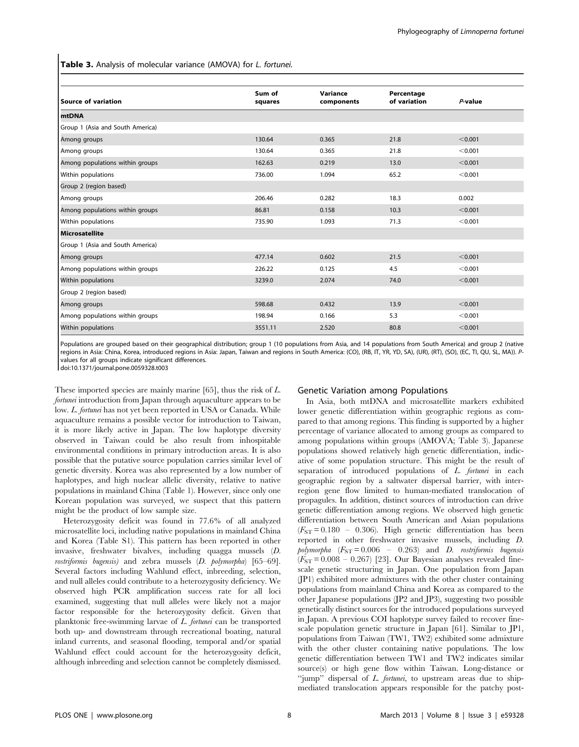Table 3. Analysis of molecular variance (AMOVA) for L. fortunei.

| <b>Source of variation</b>       | Sum of<br>squares | Variance<br>components | Percentage<br>of variation | $P$ -value |
|----------------------------------|-------------------|------------------------|----------------------------|------------|
| <b>mtDNA</b>                     |                   |                        |                            |            |
| Group 1 (Asia and South America) |                   |                        |                            |            |
| Among groups                     | 130.64            | 0.365                  | 21.8                       | < 0.001    |
| Among groups                     | 130.64            | 0.365                  | 21.8                       | < 0.001    |
| Among populations within groups  | 162.63            | 0.219                  | 13.0                       | < 0.001    |
| Within populations               | 736.00            | 1.094                  | 65.2                       | < 0.001    |
| Group 2 (region based)           |                   |                        |                            |            |
| Among groups                     | 206.46            | 0.282                  | 18.3                       | 0.002      |
| Among populations within groups  | 86.81             | 0.158                  | 10.3                       | < 0.001    |
| Within populations               | 735.90            | 1.093                  | 71.3                       | < 0.001    |
| <b>Microsatellite</b>            |                   |                        |                            |            |
| Group 1 (Asia and South America) |                   |                        |                            |            |
| Among groups                     | 477.14            | 0.602                  | 21.5                       | < 0.001    |
| Among populations within groups  | 226.22            | 0.125                  | 4.5                        | < 0.001    |
| Within populations               | 3239.0            | 2.074                  | 74.0                       | < 0.001    |
| Group 2 (region based)           |                   |                        |                            |            |
| Among groups                     | 598.68            | 0.432                  | 13.9                       | < 0.001    |
| Among populations within groups  | 198.94            | 0.166                  | 5.3                        | < 0.001    |
| Within populations               | 3551.11           | 2.520                  | 80.8                       | < 0.001    |

Populations are grouped based on their geographical distribution; group 1 (10 populations from Asia, and 14 populations from South America) and group 2 (native regions in Asia: China, Korea, introduced regions in Asia: Japan, Taiwan and regions in South America: (CO), (RB, IT, YR, YD, SA), (UR), (RT), (SO), (EC, TI, QU, SL, MA)). Pvalues for all groups indicate significant differences.

doi:10.1371/journal.pone.0059328.t003

These imported species are mainly marine [65], thus the risk of L. fortunei introduction from Japan through aquaculture appears to be low. L. fortunei has not yet been reported in USA or Canada. While aquaculture remains a possible vector for introduction to Taiwan, it is more likely active in Japan. The low haplotype diversity observed in Taiwan could be also result from inhospitable environmental conditions in primary introduction areas. It is also possible that the putative source population carries similar level of genetic diversity. Korea was also represented by a low number of haplotypes, and high nuclear allelic diversity, relative to native populations in mainland China (Table 1). However, since only one Korean population was surveyed, we suspect that this pattern might be the product of low sample size.

Heterozygosity deficit was found in 77.6% of all analyzed microsatellite loci, including native populations in mainland China and Korea (Table S1). This pattern has been reported in other invasive, freshwater bivalves, including quagga mussels (D. rostriformis bugensis) and zebra mussels (D. polymorpha) [65–69]. Several factors including Wahlund effect, inbreeding, selection, and null alleles could contribute to a heterozygosity deficiency. We observed high PCR amplification success rate for all loci examined, suggesting that null alleles were likely not a major factor responsible for the heterozygosity deficit. Given that planktonic free-swimming larvae of L. fortunei can be transported both up- and downstream through recreational boating, natural inland currents, and seasonal flooding, temporal and/or spatial Wahlund effect could account for the heterozygosity deficit, although inbreeding and selection cannot be completely dismissed.

### Genetic Variation among Populations

In Asia, both mtDNA and microsatellite markers exhibited lower genetic differentiation within geographic regions as compared to that among regions. This finding is supported by a higher percentage of variance allocated to among groups as compared to among populations within groups (AMOVA; Table 3). Japanese populations showed relatively high genetic differentiation, indicative of some population structure. This might be the result of separation of introduced populations of L. fortunei in each geographic region by a saltwater dispersal barrier, with interregion gene flow limited to human-mediated translocation of propagules. In addition, distinct sources of introduction can drive genetic differentiation among regions. We observed high genetic differentiation between South American and Asian populations  $(F_{ST} = 0.180 - 0.306)$ . High genetic differentiation has been reported in other freshwater invasive mussels, including D. polymorpha  $(F_{ST} = 0.006 - 0.263)$  and D. rostriformis bugensis  $(F_{ST} = 0.008 - 0.267)$  [23]. Our Bayesian analyses revealed finescale genetic structuring in Japan. One population from Japan (JP1) exhibited more admixtures with the other cluster containing populations from mainland China and Korea as compared to the other Japanese populations (JP2 and JP3), suggesting two possible genetically distinct sources for the introduced populations surveyed in Japan. A previous COI haplotype survey failed to recover finescale population genetic structure in Japan [61]. Similar to JP1, populations from Taiwan (TW1, TW2) exhibited some admixture with the other cluster containing native populations. The low genetic differentiation between TW1 and TW2 indicates similar source(s) or high gene flow within Taiwan. Long-distance or "jump" dispersal of L. fortunei, to upstream areas due to shipmediated translocation appears responsible for the patchy post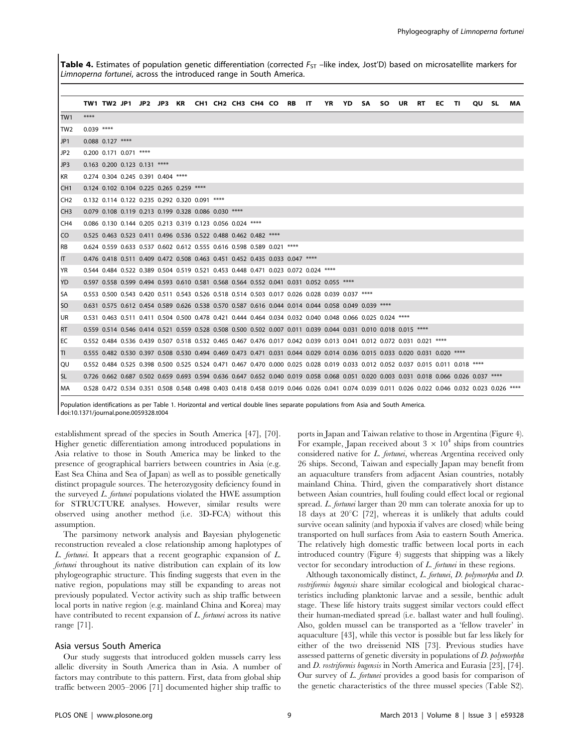Table 4. Estimates of population genetic differentiation (corrected  $F_{ST}$  –like index, Jost'D) based on microsatellite markers for Limnoperna fortunei, across the introduced range in South America.

|                 |              |                    |                              |                                    |                                                                        |  |  |                                                                                                                                                |  | YR YD SA SO UR RT |  |    |     |              |    |
|-----------------|--------------|--------------------|------------------------------|------------------------------------|------------------------------------------------------------------------|--|--|------------------------------------------------------------------------------------------------------------------------------------------------|--|-------------------|--|----|-----|--------------|----|
|                 |              |                    |                              |                                    |                                                                        |  |  | TW1 TW2 JP1 JP2 JP3 KR CH1 CH2 CH3 CH4 CO RB IT                                                                                                |  |                   |  | EC | TI. | <b>QU SL</b> | MA |
| TW1             | ****         |                    |                              |                                    |                                                                        |  |  |                                                                                                                                                |  |                   |  |    |     |              |    |
| TW <sub>2</sub> | $0.039$ **** |                    |                              |                                    |                                                                        |  |  |                                                                                                                                                |  |                   |  |    |     |              |    |
| JP <sub>1</sub> |              | $0.088$ 0.127 **** |                              |                                    |                                                                        |  |  |                                                                                                                                                |  |                   |  |    |     |              |    |
| JP <sub>2</sub> |              |                    | 0.200 0.171 0.071 ****       |                                    |                                                                        |  |  |                                                                                                                                                |  |                   |  |    |     |              |    |
| JP3             |              |                    | 0.163 0.200 0.123 0.131 **** |                                    |                                                                        |  |  |                                                                                                                                                |  |                   |  |    |     |              |    |
| <b>KR</b>       |              |                    |                              | 0.274 0.304 0.245 0.391 0.404 **** |                                                                        |  |  |                                                                                                                                                |  |                   |  |    |     |              |    |
| CH1             |              |                    |                              |                                    | 0.124 0.102 0.104 0.225 0.265 0.259 ****                               |  |  |                                                                                                                                                |  |                   |  |    |     |              |    |
| CH <sub>2</sub> |              |                    |                              |                                    | 0.132 0.114 0.122 0.235 0.292 0.320 0.091 ****                         |  |  |                                                                                                                                                |  |                   |  |    |     |              |    |
| CH <sub>3</sub> |              |                    |                              |                                    | 0.079 0.108 0.119 0.213 0.199 0.328 0.086 0.030 ****                   |  |  |                                                                                                                                                |  |                   |  |    |     |              |    |
| CH <sub>4</sub> |              |                    |                              |                                    | 0.086 0.130 0.144 0.205 0.213 0.319 0.123 0.056 0.024 ****             |  |  |                                                                                                                                                |  |                   |  |    |     |              |    |
| CO              |              |                    |                              |                                    | 0.525 0.463 0.523 0.411 0.496 0.536 0.522 0.488 0.462 0.482 ****       |  |  |                                                                                                                                                |  |                   |  |    |     |              |    |
| l RB            |              |                    |                              |                                    | 0.624 0.559 0.633 0.537 0.602 0.612 0.555 0.616 0.598 0.589 0.021 **** |  |  |                                                                                                                                                |  |                   |  |    |     |              |    |
| IT.             |              |                    |                              |                                    |                                                                        |  |  | 0.476 0.418 0.511 0.409 0.472 0.508 0.463 0.451 0.452 0.435 0.033 0.047 ****                                                                   |  |                   |  |    |     |              |    |
| <b>YR</b>       |              |                    |                              |                                    |                                                                        |  |  | 0.544 0.484 0.522 0.389 0.504 0.519 0.521 0.453 0.448 0.471 0.023 0.072 0.024 ****                                                             |  |                   |  |    |     |              |    |
| YD              |              |                    |                              |                                    |                                                                        |  |  | 0.597 0.558 0.599 0.494 0.593 0.610 0.581 0.568 0.564 0.552 0.041 0.031 0.052 0.055 ****                                                       |  |                   |  |    |     |              |    |
| l SA            |              |                    |                              |                                    |                                                                        |  |  | 0.553 0.500 0.543 0.420 0.511 0.543 0.526 0.518 0.514 0.503 0.017 0.026 0.028 0.039 0.037 ****                                                 |  |                   |  |    |     |              |    |
| <b>SO</b>       |              |                    |                              |                                    |                                                                        |  |  | 0.631 0.575 0.612 0.454 0.589 0.626 0.538 0.570 0.587 0.616 0.044 0.014 0.044 0.058 0.049 0.039 ****                                           |  |                   |  |    |     |              |    |
| <b>UR</b>       |              |                    |                              |                                    |                                                                        |  |  | 0.531 0.463 0.511 0.411 0.504 0.500 0.478 0.421 0.444 0.464 0.034 0.032 0.040 0.048 0.066 0.025 0.024 ****                                     |  |                   |  |    |     |              |    |
| <b>RT</b>       |              |                    |                              |                                    |                                                                        |  |  | 0.559 0.514 0.546 0.414 0.521 0.559 0.528 0.508 0.500 0.502 0.007 0.011 0.039 0.044 0.031 0.010 0.018 0.015 ****                               |  |                   |  |    |     |              |    |
| l EC            |              |                    |                              |                                    |                                                                        |  |  | 0.552 0.484 0.536 0.439 0.507 0.518 0.532 0.465 0.467 0.476 0.017 0.042 0.039 0.013 0.041 0.012 0.072 0.031 0.021 ****                         |  |                   |  |    |     |              |    |
| l TI            |              |                    |                              |                                    |                                                                        |  |  | 0.555 0.482 0.530 0.397 0.508 0.530 0.494 0.469 0.473 0.471 0.031 0.044 0.029 0.014 0.036 0.015 0.033 0.020 0.031 0.020 ****                   |  |                   |  |    |     |              |    |
| QU              |              |                    |                              |                                    |                                                                        |  |  | 0.552 0.484 0.525 0.398 0.500 0.525 0.524 0.471 0.467 0.470 0.000 0.025 0.028 0.019 0.033 0.012 0.052 0.037 0.015 0.011 0.018 ****             |  |                   |  |    |     |              |    |
| <b>SL</b>       |              |                    |                              |                                    |                                                                        |  |  | 0.726 0.662 0.687 0.502 0.659 0.693 0.594 0.636 0.647 0.652 0.040 0.019 0.058 0.068 0.051 0.020 0.003 0.031 0.018 0.066 0.026 0.037 ****       |  |                   |  |    |     |              |    |
| MA              |              |                    |                              |                                    |                                                                        |  |  | 0.528 0.472 0.534 0.351 0.508 0.548 0.498 0.403 0.418 0.458 0.019 0.046 0.026 0.041 0.074 0.039 0.011 0.026 0.022 0.046 0.032 0.023 0.026 **** |  |                   |  |    |     |              |    |
|                 |              |                    |                              |                                    |                                                                        |  |  |                                                                                                                                                |  |                   |  |    |     |              |    |

Population identifications as per Table 1. Horizontal and vertical double lines separate populations from Asia and South America. doi:10.1371/journal.pone.0059328.t004

establishment spread of the species in South America [47], [70]. Higher genetic differentiation among introduced populations in Asia relative to those in South America may be linked to the presence of geographical barriers between countries in Asia (e.g. East Sea China and Sea of Japan) as well as to possible genetically distinct propagule sources. The heterozygosity deficiency found in the surveyed L. fortunei populations violated the HWE assumption for STRUCTURE analyses. However, similar results were observed using another method (i.e. 3D-FCA) without this assumption.

The parsimony network analysis and Bayesian phylogenetic reconstruction revealed a close relationship among haplotypes of L. fortunei. It appears that a recent geographic expansion of L. fortunei throughout its native distribution can explain of its low phylogeographic structure. This finding suggests that even in the native region, populations may still be expanding to areas not previously populated. Vector activity such as ship traffic between local ports in native region (e.g. mainland China and Korea) may have contributed to recent expansion of L. fortunei across its native range [71].

#### Asia versus South America

Our study suggests that introduced golden mussels carry less allelic diversity in South America than in Asia. A number of factors may contribute to this pattern. First, data from global ship traffic between 2005–2006 [71] documented higher ship traffic to

ports in Japan and Taiwan relative to those in Argentina (Figure 4). For example, Japan received about  $3 \times 10^4$  ships from countries considered native for L. fortunei, whereas Argentina received only 26 ships. Second, Taiwan and especially Japan may benefit from an aquaculture transfers from adjacent Asian countries, notably mainland China. Third, given the comparatively short distance between Asian countries, hull fouling could effect local or regional spread. L. fortunei larger than 20 mm can tolerate anoxia for up to 18 days at  $20^{\circ}$ C [72], whereas it is unlikely that adults could survive ocean salinity (and hypoxia if valves are closed) while being transported on hull surfaces from Asia to eastern South America. The relatively high domestic traffic between local ports in each introduced country (Figure 4) suggests that shipping was a likely vector for secondary introduction of L. fortunei in these regions.

Although taxonomically distinct, L. fortunei, D. polymorpha and D. rostriformis bugensis share similar ecological and biological characteristics including planktonic larvae and a sessile, benthic adult stage. These life history traits suggest similar vectors could effect their human-mediated spread (i.e. ballast water and hull fouling). Also, golden mussel can be transported as a 'fellow traveler' in aquaculture [43], while this vector is possible but far less likely for either of the two dreissenid NIS [73]. Previous studies have assessed patterns of genetic diversity in populations of D. polymorpha and D. rostriformis bugensis in North America and Eurasia [23], [74]. Our survey of L. fortunei provides a good basis for comparison of the genetic characteristics of the three mussel species (Table S2).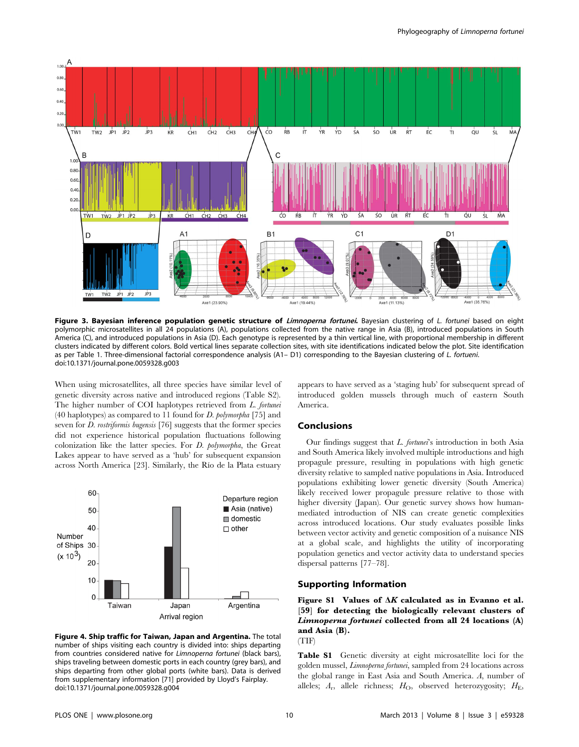

Figure 3. Bayesian inference population genetic structure of Limnoperna fortunei. Bayesian clustering of L. fortunei based on eight polymorphic microsatellites in all 24 populations (A), populations collected from the native range in Asia (B), introduced populations in South America (C), and introduced populations in Asia (D). Each genotype is represented by a thin vertical line, with proportional membership in different clusters indicated by different colors. Bold vertical lines separate collection sites, with site identifications indicated below the plot. Site identification as per Table 1. Three-dimensional factorial correspondence analysis (A1- D1) corresponding to the Bayesian clustering of L. fortueni. doi:10.1371/journal.pone.0059328.g003

When using microsatellites, all three species have similar level of genetic diversity across native and introduced regions (Table S2). The higher number of COI haplotypes retrieved from L. fortunei (40 haplotypes) as compared to 11 found for  $D$ . polymorpha [75] and seven for *D. rostriformis bugensis* [76] suggests that the former species did not experience historical population fluctuations following colonization like the latter species. For D. polymorpha, the Great Lakes appear to have served as a 'hub' for subsequent expansion across North America [23]. Similarly, the Rı´o de la Plata estuary



Figure 4. Ship traffic for Taiwan, Japan and Argentina. The total number of ships visiting each country is divided into: ships departing from countries considered native for Limnoperna fortunei (black bars), ships traveling between domestic ports in each country (grey bars), and ships departing from other global ports (white bars). Data is derived from supplementary information [71] provided by Lloyd's Fairplay. doi:10.1371/journal.pone.0059328.g004

appears to have served as a 'staging hub' for subsequent spread of introduced golden mussels through much of eastern South America.

# Conclusions

Our findings suggest that *L. fortunei*'s introduction in both Asia and South America likely involved multiple introductions and high propagule pressure, resulting in populations with high genetic diversity relative to sampled native populations in Asia. Introduced populations exhibiting lower genetic diversity (South America) likely received lower propagule pressure relative to those with higher diversity (Japan). Our genetic survey shows how humanmediated introduction of NIS can create genetic complexities across introduced locations. Our study evaluates possible links between vector activity and genetic composition of a nuisance NIS at a global scale, and highlights the utility of incorporating population genetics and vector activity data to understand species dispersal patterns [77–78].

### Supporting Information

Figure S1 Values of  $\Delta K$  calculated as in Evanno et al. [59] for detecting the biologically relevant clusters of Limnoperna fortunei collected from all 24 locations (A) and Asia (B).

(TIF)

Table S1 Genetic diversity at eight microsatellite loci for the golden mussel, Limnoperna fortunei, sampled from 24 locations across the global range in East Asia and South America. A, number of alleles;  $A_r$ , allele richness;  $H_O$ , observed heterozygosity;  $H_E$ ,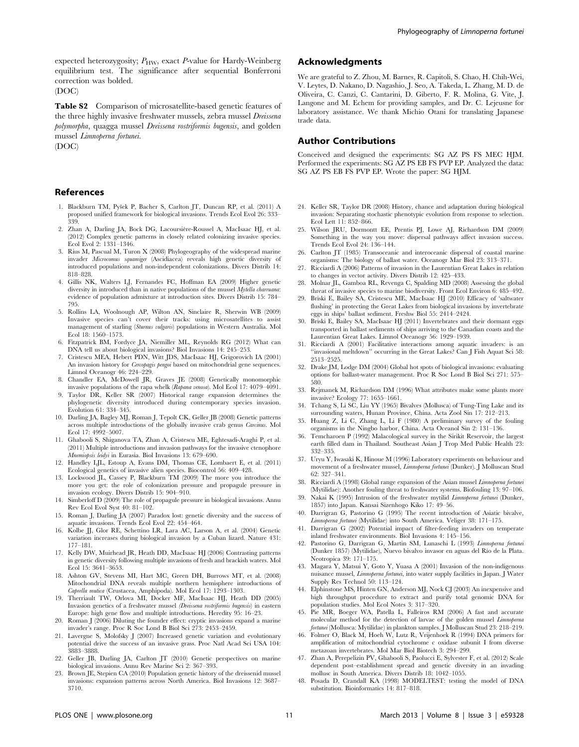expected heterozygosity;  $P_{\rm HW}$ , exact P-value for Hardy-Weinberg equilibrium test. The significance after sequential Bonferroni correction was bolded.

(DOC)

Table S2 Comparison of microsatellite-based genetic features of the three highly invasive freshwater mussels, zebra mussel *Dreissena* polymorpha, quagga mussel Dreissena rostriformis bugensis, and golden mussel Limnoperna fortunei.

(DOC)

#### References

- 1. Blackburn TM, Pyšek P, Bacher S, Carlton JT, Duncan RP, et al. (2011) A proposed unified framework for biological invasions. Trends Ecol Evol 26: 333– 339.
- 2. Zhan A, Darling JA, Bock DG, Lacoursière-Roussel A, MacIsaac HJ, et al. (2012) Complex genetic patterns in closely related colonizing invasive species. Ecol Evol 2: 1331–1346.
- 3. Rius M, Pascual M, Turon X (2008) Phylogeography of the widespread marine invader Microcomus squamiger (Ascidiacea) reveals high genetic diversity of introduced populations and non-independent colonizations. Divers Distrib 14: 818–828.
- 4. Gillis NK, Walters LJ, Fernandes FC, Hoffman EA (2009) Higher genetic diversity in introduced than in native populations of the mussel *Mytella charruana:*<br>evidence of population admixture at introduction sites. Divers Distrib 15: 784– 795.
- 5. Rollins LA, Woolnough AP, Wilton AN, Sinclaire R, Sherwin WB (2009) Invasive species can't cover their tracks: using microsatellites to assist management of starling (Sturnus vulgaris) populations in Western Australia. Mol Ecol 18: 1560–1573.
- 6. Fitzpatrick BM, Fordyce JA, Niemiller ML, Reynolds RG (2012) What can DNA tell us about biological invasions? Biol Invasions 14: 245–253.
- 7. Cristescu MEA, Hebert PDN, Witt JDS, MacIsaac HJ, Grigorovich IA (2001) An invasion history for Cercopagis pengoi based on mitochondrial gene sequences. Limnol Oceanogr 46: 224–229.
- 8. Chandler EA, McDowell JR, Graves JE (2008) Genetically monomorphic invasive populations of the rapa whelk (Rapana venosa). Mol Ecol 17: 4079–4091.
- 9. Taylor DR, Keller SR (2007) Historical range expansion determines the phylogenetic diversity introduced during contemporary species invasion. Evolution 61: 334–345.
- 10. Darling JA, Bagley MJ, Roman J, Tepolt CK, Geller JB (2008) Genetic patterns across multiple introductions of the globally invasive crab genus Carcinus. Mol Ecol 17: 4992–5007.
- 11. Ghabooli S, Shiganova TA, Zhan A, Cristescu ME, Eghtesadi-Araghi P, et al. (2011) Multiple introductions and invasion pathways for the invasive ctenophore Mnemiopsis leidyi in Eurasia. Biol Invasions 13: 679–690.
- 12. Handley LJL, Estoup A, Evans DM, Thomas CE, Lombaert E, et al. (2011) Ecological genetics of invasive alien species. Biocontrol 56: 409–428.
- 13. Lockwood JL, Cassey P, Blackburn TM (2009) The more you introduce the more you get: the role of colonization pressure and propagule pressure in invasion ecology. Divers Distrib 15: 904–910.
- 14. Simberloff D (2009) The role of propagule pressure in biological invasions. Annu Rev Ecol Evol Syst 40: 81–102.
- 15. Roman J, Darling JA (2007) Paradox lost: genetic diversity and the success of aquatic invasions. Trends Ecol Evol 22: 454–464.
- 16. Kolbe JJ, Glor RE, Schettino LR, Lara AC, Larson A, et al. (2004) Genetic variation increases during biological invasion by a Cuban lizard. Nature 431: 177–181.
- 17. Kelly DW, Muirhead JR, Heath DD, MacIsaac HJ (2006) Contrasting patterns in genetic diversity following multiple invasions of fresh and brackish waters. Mol Ecol 15: 3641–3653.
- 18. Ashton GV, Stevens MI, Hart MC, Green DH, Burrows MT, et al. (2008) Mitochondrial DNA reveals multiple northern hemisphere introductions of Caprella mutica (Crustacea, Amphipoda). Mol Ecol 17: 1293–1303.
- 19. Therriault TW, Orlova MI, Docker MF, MacIsaac HJ, Heath DD (2005) Invasion genetics of a freshwater mussel (Dreissena rostriformis bugensis) in eastern Europe: high gene flow and multiple introductions. Heredity 95: 16–23.
- 20. Roman J (2006) Diluting the founder effect: cryptic invasions expand a marine invader's range. Proc R Soc Lond B Biol Sci 273: 2453–2459.
- 21. Lavergne S, Molofsky J (2007) Increased genetic variation and evolutionary potential drive the success of an invasive grass. Proc Natl Acad Sci USA 104: 3883–3888.
- 22. Geller JB, Darling JA, Carlton JT (2010) Genetic perspectives on marine biological invasions. Annu Rev Marine Sci 2: 367–393.
- 23. Brown JE, Stepien CA (2010) Population genetic history of the dreissenid mussel invasions: expansion patterns across North America. Biol Invasions 12: 3687– 3710.

# Acknowledgments

We are grateful to Z. Zhou, M. Barnes, R. Capitoli, S. Chao, H. Chih-Wei, V. Leytes, D. Nakano, D. Nagashio, J. Seo, A. Takeda, L. Zhang, M. D. de Oliveira, C. Canzi, C. Cantarini, D. Giberto, F. R. Molina, G. Vite, J. Langone and M. Echem for providing samples, and Dr. C. Lejeusne for laboratory assistance. We thank Michio Otani for translating Japanese trade data.

#### Author Contributions

Conceived and designed the experiments: SG AZ PS FS MEC HJM. Performed the experiments: SG AZ PS EB FS PVP EP. Analyzed the data: SG AZ PS EB FS PVP EP. Wrote the paper: SG HJM.

- 24. Keller SR, Taylor DR (2008) History, chance and adaptation during biological invasion: Separating stochastic phenotypic evolution from response to selection. Ecol Lett 11: 852–866.
- 25. Wilson JRU, Dormontt EE, Prentis PJ, Lowe AJ, Richardson DM (2009) Something in the way you move: dispersal pathways affect invasion success. Trends Ecol Evol 24: 136–144.
- 26. Carlton JT (1985) Transoceanic and interoceanic dispersal of coastal marine organisms: The biology of ballast water. Oceanogr Mar Biol 23: 313–371.
- 27. Ricciardi A (2006) Patterns of invasion in the Laurentian Great Lakes in relation to changes in vector activity. Divers Distrib 12: 425–433.
- 28. Molnar JL, Gamboa RL, Revenga C, Spalding MD (2008) Assessing the global threat of invasive species to marine biodiversity. Front Ecol Environ 6: 485–492.
- 29. Briski E, Bailey SA, Cristescu ME, MacIsaac HJ (2010) Efficacy of 'saltwater flushing' in protecting the Great Lakes from biological invasions by invertebrate eggs in ships' ballast sediment. Freshw Biol 55: 2414–2424.
- 30. Briski E, Bailey SA, MacIsaac HJ (2011) Invertebrates and their dormant eggs transported in ballast sediments of ships arriving to the Canadian coasts and the Laurentian Great Lakes. Limnol Oceanogr 56: 1929–1939.
- 31. Ricciardi A (2001) Facilitative interactions among aquatic invaders: is an ''invasional meltdown'' occurring in the Great Lakes? Can J Fish Aquat Sci 58: 2513–2525.
- 32. Drake JM, Lodge DM (2004) Global hot spots of biological invasions: evaluating options for ballast-water management. Proc R Soc Lond B Biol Sci 271: 575– 580.
- 33. Rejmanek M, Richardson DM (1996) What attributes make some plants more invasive? Ecology 77: 1655–1661.
- 34. Tchang S, Li SC, Liu YY (1965) Bivalves (Mollusca) of Tung-Ting Lake and its surrounding waters, Hunan Province, China. Acta Zool Sin 17: 212–213.
- 35. Huang Z, Li C, Zhang L, Li F (1980) A preliminary survey of the fouling organisms in the Ningbo harbor, China. Acta Oceanol Sin 2: 131–136.
- 36. Temcharoen P (1992) Malacological survey in the Sirikit Reservoir, the largest earth filled dam in Thailand. Southeast Asian J Trop Med Public Health 23: 332–335.
- 37. Uryu Y, Iwasaki K, Hinoue M (1996) Laboratory experiments on behaviour and movement of a freshwater mussel, Limnoperna fortunei (Dunker). J Molluscan Stud 62: 327–341.
- 38. Ricciardi A (1998) Global range expansion of the Asian mussel Limnoperna fortunei (Mytilidae): Another fouling threat to freshwater systems. Biofouling 13: 97–106.
- 39. Nakai K (1995) Intrusion of the freshwater mytilid Limnoperna fortunei (Dunker, 1857) into Japan. Kansai Sizenhogo Kiko 17: 49–56.
- 40. Darrigran G, Pastorino G (1995) The recent introduction of Asiatic bivalve, Limnoperna fortunei (Mytilidae) into South America. Veliger 38: 171–175.
- 41. Darrigran G (2002) Potential impact of filter-feeding invaders on temperate inland freshwater environments. Biol Invasions 4: 145–156.
- 42. Pastorino G, Darrigran G, Martin SM, Lunaschi L (1993) Limnoperna fortunei (Dunker 1857) (Mytilidae), Nuevo bivalvo invasor en aguas del Río de la Plata. Neotropica 39: 171–175.
- 43. Magara Y, Matsui Y, Goto Y, Yuasa A (2001) Invasion of the non-indigenous nuisance mussel, Limnoperna fortunei, into water supply facilities in Japan. J Water Supply Res Technol 50: 113–124.
- 44. Elphinstone MS, Hinten GN, Anderson MJ, Nock CJ (2003) An inexpensive and high throughput procedure to extract and purify total genomic DNA for population studies. Mol Ecol Notes 3: 317–320.
- 45. Pie MR, Boeger WA, Patella L, Falleiros RM (2006) A fast and accurate molecular method for the detection of larvae of the golden mussel Limnoperna fortunei (Mollusca: Mytilidae) in plankton samples. J Molluscan Stud 23: 218–219.
- 46. Folmer O, Black M, Hoeh W, Lutz R, Vrijenhoek R (1994) DNA primers for amplification of mitochondrial cytochrome c oxidase subunit I from diverse metazoan invertebrates. Mol Mar Biol Biotech 3: 294–299.
- 47. Zhan A, Perepelizin PV, Ghabooli S, Paolucci E, Sylvester F, et al. (2012) Scale dependent post–establishment spread and genetic diversity in an invading mollusc in South America. Divers Distrib 18: 1042–1055.
- 48. Posada D, Crandall KA (1998) MODELTEST: testing the model of DNA substitution. Bioinformatics 14: 817–818.